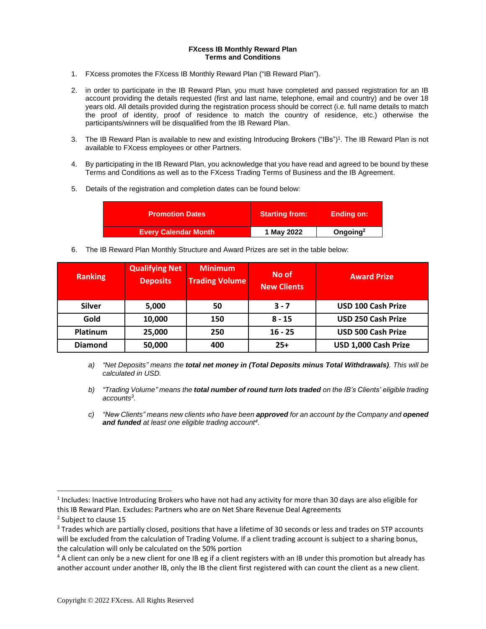## **FXcess IB Monthly Reward Plan Terms and Conditions**

- 1. FXcess promotes the FXcess IB Monthly Reward Plan ("IB Reward Plan").
- 2. in order to participate in the IB Reward Plan, you must have completed and passed registration for an IB account providing the details requested (first and last name, telephone, email and country) and be over 18 years old. All details provided during the registration process should be correct (i.e. full name details to match the proof of identity, proof of residence to match the country of residence, etc.) otherwise the participants/winners will be disqualified from the IB Reward Plan.
- 3. The IB Reward Plan is available to new and existing Introducing Brokers ("IBs")<sup>1</sup> . The IB Reward Plan is not available to FXcess employees or other Partners.
- 4. By participating in the IB Reward Plan, you acknowledge that you have read and agreed to be bound by these Terms and Conditions as well as to the FXcess Trading Terms of Business and the IB Agreement.
- 5. Details of the registration and completion dates can be found below:

| <b>Promotion Dates</b>      | <b>Starting from:</b> | <b>Ending on:</b>    |
|-----------------------------|-----------------------|----------------------|
| <b>Every Calendar Month</b> | 1 May 2022            | Ongoing <sup>2</sup> |

6. The IB Reward Plan Monthly Structure and Award Prizes are set in the table below:

| <b>Ranking</b> | Qualifying Net<br><b>Deposits</b> | <b>Minimum</b><br><b>Trading Volume</b> | No of<br><b>New Clients</b> | <b>Award Prize</b>        |
|----------------|-----------------------------------|-----------------------------------------|-----------------------------|---------------------------|
| <b>Silver</b>  | 5,000                             | 50                                      | $3 - 7$                     | <b>USD 100 Cash Prize</b> |
| Gold           | 10,000                            | 150                                     | $8 - 15$                    | <b>USD 250 Cash Prize</b> |
| Platinum       | 25,000                            | 250                                     | $16 - 25$                   | <b>USD 500 Cash Prize</b> |
| <b>Diamond</b> | 50,000                            | 400                                     | $25+$                       | USD 1,000 Cash Prize      |

- *a) "Net Deposits" means the total net money in (Total Deposits minus Total Withdrawals). This will be calculated in USD.*
- *b) "Trading Volume" means the total number of round turn lots traded on the IB's Clients' eligible trading accounts<sup>3</sup> .*
- *c) "New Clients" means new clients who have been approved for an account by the Company and opened and funded at least one eligible trading account<sup>4</sup> .*

<sup>&</sup>lt;sup>1</sup> Includes: Inactive Introducing Brokers who have not had any activity for more than 30 days are also eligible for this IB Reward Plan. Excludes: Partners who are on Net Share Revenue Deal Agreements

<sup>&</sup>lt;sup>2</sup> Subject to clause 15

<sup>&</sup>lt;sup>3</sup> Trades which are partially closed, positions that have a lifetime of 30 seconds or less and trades on STP accounts will be excluded from the calculation of Trading Volume. If a client trading account is subject to a sharing bonus, the calculation will only be calculated on the 50% portion

<sup>&</sup>lt;sup>4</sup> A client can only be a new client for one IB eg if a client registers with an IB under this promotion but already has another account under another IB, only the IB the client first registered with can count the client as a new client.